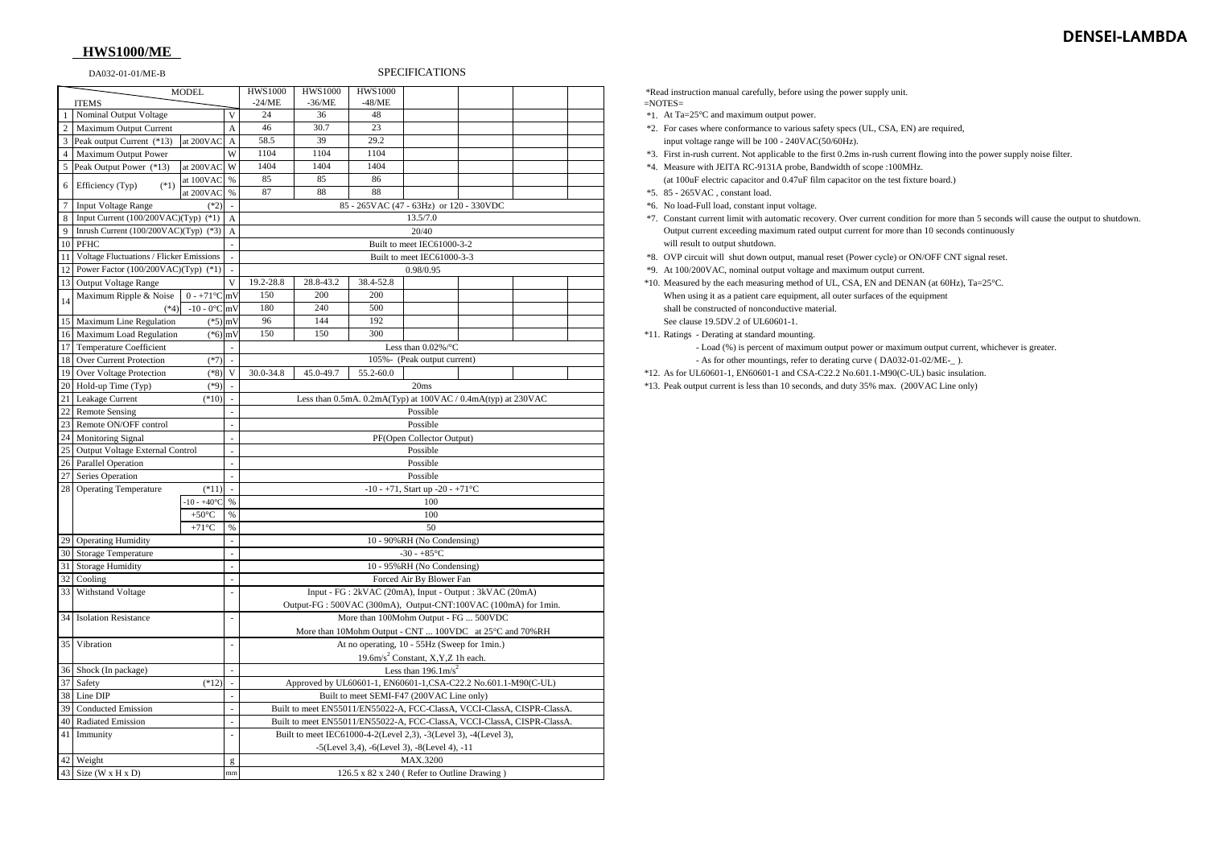# **DENSEI-LAMBDA**

## **HWS1000/ME**

## DA032-01-01/ME-B SPECIFICATIONS

8 A \*7. Constant current limit with automatic recovery. Over current condition for more than 5 seconds will cause the output to shutdown.

| <b>MODEL</b>   |                                                                                 |                                                                       |              | <b>HWS1000</b>                                                                    | <b>HWS1000</b>                          | <b>HWS1000</b> |                        |  |          |  | *Read inst    |  |
|----------------|---------------------------------------------------------------------------------|-----------------------------------------------------------------------|--------------|-----------------------------------------------------------------------------------|-----------------------------------------|----------------|------------------------|--|----------|--|---------------|--|
| <b>ITEMS</b>   |                                                                                 |                                                                       |              | $-24/ME$                                                                          | $-36/ME$                                | $-48/ME$       |                        |  |          |  | $=$ NOTES $=$ |  |
|                | Nominal Output Voltage                                                          |                                                                       | V            | 24                                                                                | 36                                      | 48             |                        |  |          |  | $*1$ . At Ta  |  |
| $\overline{2}$ | Maximum Output Current                                                          |                                                                       | A            | 46                                                                                | 30.7                                    | 23             |                        |  |          |  | $*2.$ For c   |  |
| 3              | Peak output Current (*13)                                                       | at 200VAC                                                             | $\mathbf{A}$ | 58.5                                                                              | 39                                      | 29.2           |                        |  |          |  | input         |  |
|                | Maximum Output Power                                                            |                                                                       | W            | 1104                                                                              | 1104                                    | 1104           |                        |  |          |  | *3. First     |  |
| 5              | Peak Output Power (*13)                                                         | at 200VAC                                                             | W            | 1404                                                                              | 1404                                    | 1404           |                        |  |          |  | *4. Meas      |  |
|                |                                                                                 | at 100VAC                                                             | $\%$         | 85                                                                                | 85                                      | 86             |                        |  |          |  | (at 10)       |  |
| 6              | Efficiency (Typ)<br>$(*1)$                                                      | at 200VAC                                                             | $\%$         | 87                                                                                | 88                                      | 88             |                        |  |          |  | $*5.85 - 2$   |  |
|                | <b>Input Voltage Range</b>                                                      | $(*2)$                                                                |              |                                                                                   | 85 - 265VAC (47 - 63Hz) or 120 - 330VDC |                |                        |  |          |  |               |  |
| 8              | Input Current (100/200VAC)(Typ) (*1)                                            | 13.5/7.0                                                              |              |                                                                                   |                                         |                |                        |  | *7. Cons |  |               |  |
| 9              | Inrush Current (100/200VAC)(Typ) (*3)<br>A                                      |                                                                       |              | 20/40                                                                             |                                         |                |                        |  |          |  | Outp          |  |
| 10             | <b>PFHC</b>                                                                     |                                                                       |              | Built to meet IEC61000-3-2                                                        |                                         |                |                        |  |          |  | will r        |  |
|                | Voltage Fluctuations / Flicker Emissions                                        |                                                                       |              | Built to meet IEC61000-3-3                                                        |                                         |                |                        |  |          |  | *8. OVP       |  |
|                | Power Factor (100/200VAC)(Typ) (*1)                                             |                                                                       |              | 0.98/0.95                                                                         |                                         |                |                        |  |          |  | *9. At 10     |  |
| 13             | Output Voltage Range                                                            |                                                                       | V            | 19.2-28.8                                                                         | 28.8-43.2                               | 38.4-52.8      |                        |  |          |  | *10. Meas     |  |
|                | Maximum Ripple & Noise                                                          | $0 - +71$ °C mV                                                       |              | 150                                                                               | 200                                     | 200            |                        |  |          |  | Wher          |  |
| 14             | $(*4)$                                                                          | $-10 - 0$ °C mV                                                       |              | 180                                                                               | 240                                     | 500            |                        |  |          |  | shall         |  |
|                | 15 Maximum Line Regulation                                                      | $(*5)$ mV                                                             |              | 96                                                                                | 144                                     | 192            |                        |  |          |  | See c         |  |
|                | 16 Maximum Load Regulation                                                      | $(*6)$ mV                                                             |              | 150                                                                               | 150                                     | 300            |                        |  |          |  | *11. Ratin    |  |
| 17             | Temperature Coefficient                                                         |                                                                       |              |                                                                                   |                                         |                | Less than $0.02\%$ /°C |  |          |  |               |  |
| 18             | Over Current Protection                                                         | $(*7)$                                                                |              |                                                                                   | 105%- (Peak output current)             |                |                        |  |          |  |               |  |
| 19             | Over Voltage Protection                                                         | $(*8)$                                                                | V            | 30.0-34.8                                                                         | 45.0-49.7<br>55.2-60.0                  |                |                        |  |          |  |               |  |
| 20             | Hold-up Time (Typ)                                                              | $(*9)$                                                                |              | $*12. As$ fo<br>20ms                                                              |                                         |                |                        |  |          |  |               |  |
| 21             | Leakage Current                                                                 | $(*10)$                                                               |              | *13. Peak<br>Less than 0.5mA. 0.2mA(Typ) at 100VAC / 0.4mA(typ) at 230VAC         |                                         |                |                        |  |          |  |               |  |
| 22             | <b>Remote Sensing</b>                                                           |                                                                       |              | Possible                                                                          |                                         |                |                        |  |          |  |               |  |
| 23             | Remote ON/OFF control                                                           |                                                                       |              |                                                                                   | Possible                                |                |                        |  |          |  |               |  |
| 24             | Monitoring Signal                                                               | PF(Open Collector Output)                                             |              |                                                                                   |                                         |                |                        |  |          |  |               |  |
| 25             | Output Voltage External Control                                                 |                                                                       |              | Possible                                                                          |                                         |                |                        |  |          |  |               |  |
|                | 26 Parallel Operation                                                           |                                                                       | Possible     |                                                                                   |                                         |                |                        |  |          |  |               |  |
|                | Series Operation                                                                |                                                                       |              | Possible                                                                          |                                         |                |                        |  |          |  |               |  |
|                | 28 Operating Temperature                                                        | $(*11)$                                                               |              | -10 - +71, Start up -20 - +71 $^{\circ}$ C                                        |                                         |                |                        |  |          |  |               |  |
|                | $-10 - +40$ °C<br>$\%$<br>100                                                   |                                                                       |              |                                                                                   |                                         |                |                        |  |          |  |               |  |
|                | $+50^{\circ}$ C                                                                 |                                                                       |              | 100                                                                               |                                         |                |                        |  |          |  |               |  |
|                |                                                                                 | $+71^{\circ}C$                                                        | $\%$<br>$\%$ |                                                                                   |                                         |                | 50                     |  |          |  |               |  |
|                | 29 Operating Humidity                                                           |                                                                       |              |                                                                                   |                                         |                |                        |  |          |  |               |  |
|                | 30 Storage Temperature                                                          |                                                                       |              | 10 - 90%RH (No Condensing)<br>$-30 - +85$ °C                                      |                                         |                |                        |  |          |  |               |  |
|                | 31 Storage Humidity                                                             |                                                                       |              | 10 - 95%RH (No Condensing)                                                        |                                         |                |                        |  |          |  |               |  |
|                | 32 Cooling                                                                      |                                                                       |              | Forced Air By Blower Fan                                                          |                                         |                |                        |  |          |  |               |  |
|                | 33 Withstand Voltage                                                            |                                                                       |              | Input - FG : 2kVAC (20mA), Input - Output : 3kVAC (20mA)                          |                                         |                |                        |  |          |  |               |  |
|                |                                                                                 |                                                                       |              | Output-FG: 500VAC (300mA), Output-CNT: 100VAC (100mA) for 1min.                   |                                         |                |                        |  |          |  |               |  |
| 34             |                                                                                 |                                                                       |              |                                                                                   |                                         |                |                        |  |          |  |               |  |
|                | More than 100Mohm Output - FG  500VDC<br><b>Isolation Resistance</b>            |                                                                       |              |                                                                                   |                                         |                |                        |  |          |  |               |  |
|                | More than 10Mohm Output - CNT  100VDC at 25°C and 70%RH                         |                                                                       |              |                                                                                   |                                         |                |                        |  |          |  |               |  |
|                |                                                                                 | 35 Vibration<br>At no operating, 10 - 55Hz (Sweep for 1min.)          |              |                                                                                   |                                         |                |                        |  |          |  |               |  |
|                |                                                                                 |                                                                       |              | 19.6m/s <sup>2</sup> Constant, X, Y, Z 1h each.<br>Less than $196.1 \text{m/s}^2$ |                                         |                |                        |  |          |  |               |  |
|                | 36 Shock (In package)                                                           |                                                                       |              |                                                                                   |                                         |                |                        |  |          |  |               |  |
|                | 37 Safety                                                                       | $(*12)$                                                               |              | Approved by UL60601-1, EN60601-1,CSA-C22.2 No.601.1-M90(C-UL)                     |                                         |                |                        |  |          |  |               |  |
| 38             | Line DIP                                                                        |                                                                       |              | Built to meet SEMI-F47 (200VAC Line only)                                         |                                         |                |                        |  |          |  |               |  |
| 39             | <b>Conducted Emission</b>                                                       |                                                                       |              | Built to meet EN55011/EN55022-A, FCC-ClassA, VCCI-ClassA, CISPR-ClassA.           |                                         |                |                        |  |          |  |               |  |
| 40             | Radiated Emission                                                               |                                                                       |              | Built to meet EN55011/EN55022-A, FCC-ClassA, VCCI-ClassA, CISPR-ClassA.           |                                         |                |                        |  |          |  |               |  |
|                | Built to meet IEC61000-4-2(Level 2,3), -3(Level 3), -4(Level 3),<br>41 Immunity |                                                                       |              |                                                                                   |                                         |                |                        |  |          |  |               |  |
|                |                                                                                 |                                                                       |              | $-5$ (Level 3,4), $-6$ (Level 3), $-8$ (Level 4), $-11$                           |                                         |                |                        |  |          |  |               |  |
|                | 42 Weight                                                                       |                                                                       | g            | MAX.3200                                                                          |                                         |                |                        |  |          |  |               |  |
| 43             |                                                                                 | Size (W x H x D)<br>126.5 x 82 x 240 (Refer to Outline Drawing)<br>mm |              |                                                                                   |                                         |                |                        |  |          |  |               |  |

\*Read instruction manual carefully, before using the power supply unit.

- $*1$ . At Ta=25°C and maximum output power.
- \*2. For cases where conformance to various safety specs (UL, CSA, EN) are required, input voltage range will be  $100 - 240VAC(50/60Hz)$ .
- \*3. First in-rush current. Not applicable to the first 0.2ms in-rush current flowing into the power supply noise filter. \*4. Measure with JEITA RC-9131A probe, Bandwidth of scope :100MHz.
- (at 100uF electric capacitor and  $0.47$ uF film capacitor on the test fixture board.)  $*5.$  85 - 265VAC , constant load.
- 
- $*6$ . No load-Full load, constant input voltage.
- Output current exceeding maximum rated output current for more than 10 seconds continuously will result to output shutdown.
- \*8. OVP circuit will shut down output, manual reset (Power cycle) or ON/OFF CNT signal reset.
- \*9. At 100/200VAC, nominal output voltage and maximum output current.
- \*10. Measured by the each measuring method of UL, CSA, EN and DENAN (at 60Hz), Ta=25°C. When using it as a patient care equipment, all outer surfaces of the equipment shall be constructed of nonconductive material. See clause 19.5DV.2 of UL60601-1.
- \*11. Ratings Derating at standard mounting.

- Load (%) is percent of maximum output power or maximum output current, whichever is greater. - As for other mountings, refer to derating curve ( $DA032-01-02/ME$ - $*12$ . As for UL60601-1, EN60601-1 and CSA-C22.2 No.601.1-M90(C-UL) basic insulation. \*13. Peak output current is less than 10 seconds, and duty 35% max. (200VAC Line only)